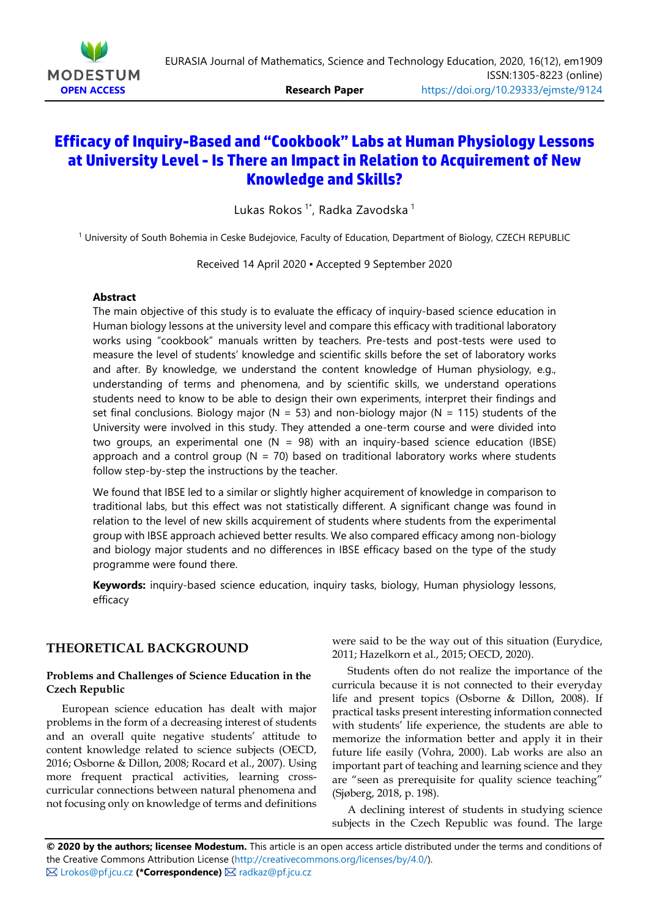

# **Efficacy of Inquiry-Based and "Cookbook" Labs at Human Physiology Lessons at University Level- Is There an Impact in Relation to Acquirement of New Knowledge and Skills?**

Lukas Rokos<sup>1\*</sup>, Radka Zavodska <sup>1</sup>

<sup>1</sup> University of South Bohemia in Ceske Budejovice, Faculty of Education, Department of Biology, CZECH REPUBLIC

Received 14 April 2020 ▪ Accepted 9 September 2020

## **Abstract**

The main objective of this study is to evaluate the efficacy of inquiry-based science education in Human biology lessons at the university level and compare this efficacy with traditional laboratory works using "cookbook" manuals written by teachers. Pre-tests and post-tests were used to measure the level of students' knowledge and scientific skills before the set of laboratory works and after. By knowledge, we understand the content knowledge of Human physiology, e.g., understanding of terms and phenomena, and by scientific skills, we understand operations students need to know to be able to design their own experiments, interpret their findings and set final conclusions. Biology major (N = 53) and non-biology major (N = 115) students of the University were involved in this study. They attended a one-term course and were divided into two groups, an experimental one  $(N = 98)$  with an inquiry-based science education (IBSE) approach and a control group ( $N = 70$ ) based on traditional laboratory works where students follow step-by-step the instructions by the teacher.

We found that IBSE led to a similar or slightly higher acquirement of knowledge in comparison to traditional labs, but this effect was not statistically different. A significant change was found in relation to the level of new skills acquirement of students where students from the experimental group with IBSE approach achieved better results. We also compared efficacy among non-biology and biology major students and no differences in IBSE efficacy based on the type of the study programme were found there.

**Keywords:** inquiry-based science education, inquiry tasks, biology, Human physiology lessons, efficacy

## **THEORETICAL BACKGROUND**

#### **Problems and Challenges of Science Education in the Czech Republic**

European science education has dealt with major problems in the form of a decreasing interest of students and an overall quite negative students' attitude to content knowledge related to science subjects (OECD, 2016; Osborne & Dillon, 2008; Rocard et al., 2007). Using more frequent practical activities, learning crosscurricular connections between natural phenomena and not focusing only on knowledge of terms and definitions

were said to be the way out of this situation (Eurydice, 2011; Hazelkorn et al., 2015; OECD, 2020).

Students often do not realize the importance of the curricula because it is not connected to their everyday life and present topics (Osborne & Dillon, 2008). If practical tasks present interesting information connected with students' life experience, the students are able to memorize the information better and apply it in their future life easily (Vohra, 2000). Lab works are also an important part of teaching and learning science and they are "seen as prerequisite for quality science teaching" (Sjøberg, 2018, p. 198).

A declining interest of students in studying science subjects in the Czech Republic was found. The large

**© 2020 by the authors; licensee Modestum.** This article is an open access article distributed under the terms and conditions of the Creative Commons Attribution License [\(http://creativecommons.org/licenses/by/4.0/\)](http://creativecommons.org/licenses/by/4.0/). **⊠ [Lrokos@pf.jcu.cz](mailto:Lrokos@pf.jcu.cz) (\*Correspondence) ⊠** [radkaz@pf.jcu.cz](mailto:radkaz@pf.jcu.cz)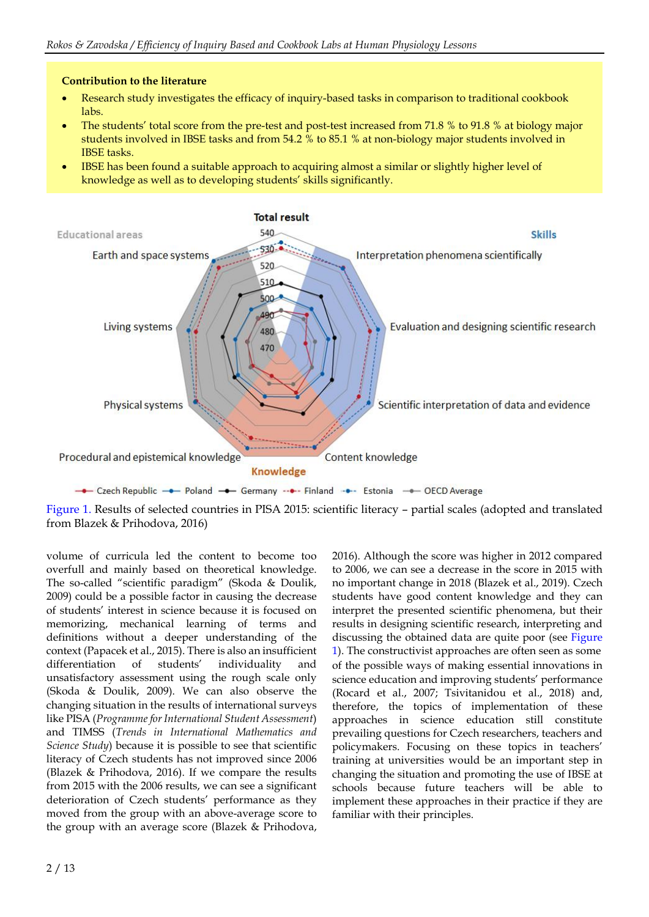## **Contribution to the literature**

- Research study investigates the efficacy of inquiry-based tasks in comparison to traditional cookbook labs.
- The students' total score from the pre-test and post-test increased from 71.8 % to 91.8 % at biology major students involved in IBSE tasks and from 54.2 % to 85.1 % at non-biology major students involved in IBSE tasks.
- IBSE has been found a suitable approach to acquiring almost a similar or slightly higher level of knowledge as well as to developing students' skills significantly.



Figure 1. Results of selected countries in PISA 2015: scientific literacy – partial scales (adopted and translated from Blazek & Prihodova, 2016)

volume of curricula led the content to become too overfull and mainly based on theoretical knowledge. The so-called "scientific paradigm" (Skoda & Doulik, 2009) could be a possible factor in causing the decrease of students' interest in science because it is focused on memorizing, mechanical learning of terms and definitions without a deeper understanding of the context (Papacek et al., 2015). There is also an insufficient differentiation of students' individuality and unsatisfactory assessment using the rough scale only (Skoda & Doulik, 2009). We can also observe the changing situation in the results of international surveys like PISA (*Programme forInternational Student Assessment*) and TIMSS (*Trends in International Mathematics and Science Study*) because it is possible to see that scientific literacy of Czech students has not improved since 2006 (Blazek & Prihodova, 2016). If we compare the results from 2015 with the 2006 results, we can see a significant deterioration of Czech students' performance as they moved from the group with an above-average score to the group with an average score (Blazek & Prihodova,

2016). Although the score was higher in 2012 compared to 2006, we can see a decrease in the score in 2015 with no important change in 2018 (Blazek et al., 2019). Czech students have good content knowledge and they can interpret the presented scientific phenomena, but their results in designing scientific research, interpreting and discussing the obtained data are quite poor (see Figure 1). The constructivist approaches are often seen as some of the possible ways of making essential innovations in science education and improving students' performance (Rocard et al., 2007; Tsivitanidou et al., 2018) and, therefore, the topics of implementation of these approaches in science education still constitute prevailing questions for Czech researchers, teachers and policymakers. Focusing on these topics in teachers' training at universities would be an important step in changing the situation and promoting the use of IBSE at schools because future teachers will be able to implement these approaches in their practice if they are familiar with their principles.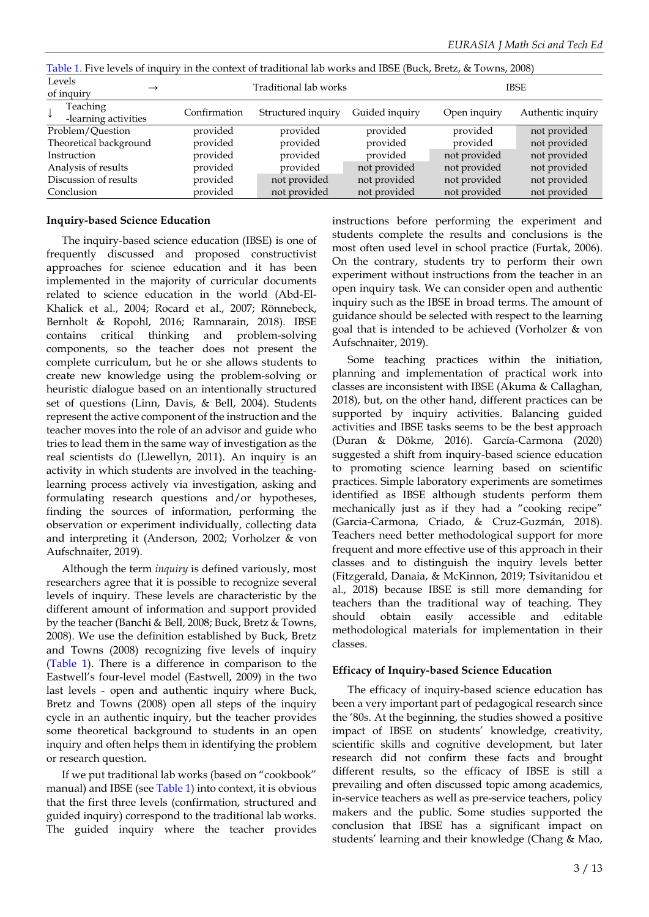| Table 1. Five levels of inquiry in the context of traditional lab works and IBSE (Buck, Bretz, & Towns, 2008) |              |                       |                |              |                   |  |  |  |  |  |
|---------------------------------------------------------------------------------------------------------------|--------------|-----------------------|----------------|--------------|-------------------|--|--|--|--|--|
| Levels<br>$\rightarrow$<br>of inquiry                                                                         |              | Traditional lab works |                | <b>IBSE</b>  |                   |  |  |  |  |  |
| Teaching<br>-learning activities                                                                              | Confirmation | Structured inquiry    | Guided inquiry | Open inquiry | Authentic inquiry |  |  |  |  |  |
| Problem/Question                                                                                              | provided     | provided              | provided       | provided     | not provided      |  |  |  |  |  |
| Theoretical background                                                                                        | provided     | provided              | provided       | provided     | not provided      |  |  |  |  |  |
| Instruction                                                                                                   | provided     | provided              | provided       | not provided | not provided      |  |  |  |  |  |
| Analysis of results                                                                                           | provided     | provided              | not provided   | not provided | not provided      |  |  |  |  |  |
| Discussion of results                                                                                         | provided     | not provided          | not provided   | not provided | not provided      |  |  |  |  |  |
| Conclusion                                                                                                    | provided     | not provided          | not provided   | not provided | not provided      |  |  |  |  |  |

Table 1. Five levels of inquiry in the context of traditional lab works and IBSE (Buck, Bretz, & Towns, 2008)

### **Inquiry-based Science Education**

The inquiry-based science education (IBSE) is one of frequently discussed and proposed constructivist approaches for science education and it has been implemented in the majority of curricular documents related to science education in the world (Abd-El-Khalick et al., 2004; Rocard et al., 2007; Rönnebeck, Bernholt & Ropohl, 2016; Ramnarain, 2018). IBSE contains critical thinking and problem-solving components, so the teacher does not present the complete curriculum, but he or she allows students to create new knowledge using the problem-solving or heuristic dialogue based on an intentionally structured set of questions (Linn, Davis, & Bell, 2004). Students represent the active component of the instruction and the teacher moves into the role of an advisor and guide who tries to lead them in the same way of investigation as the real scientists do (Llewellyn, 2011). An inquiry is an activity in which students are involved in the teachinglearning process actively via investigation, asking and formulating research questions and/or hypotheses, finding the sources of information, performing the observation or experiment individually, collecting data and interpreting it (Anderson, 2002; Vorholzer & von Aufschnaiter, 2019).

Although the term *inquiry* is defined variously, most researchers agree that it is possible to recognize several levels of inquiry. These levels are characteristic by the different amount of information and support provided by the teacher (Banchi & Bell, 2008; Buck, Bretz & Towns, 2008). We use the definition established by Buck, Bretz and Towns (2008) recognizing five levels of inquiry (Table 1). There is a difference in comparison to the Eastwell's four-level model (Eastwell, 2009) in the two last levels - open and authentic inquiry where Buck, Bretz and Towns (2008) open all steps of the inquiry cycle in an authentic inquiry, but the teacher provides some theoretical background to students in an open inquiry and often helps them in identifying the problem or research question.

If we put traditional lab works (based on "cookbook" manual) and IBSE (see Table 1) into context, it is obvious that the first three levels (confirmation, structured and guided inquiry) correspond to the traditional lab works. The guided inquiry where the teacher provides instructions before performing the experiment and students complete the results and conclusions is the most often used level in school practice (Furtak, 2006). On the contrary, students try to perform their own experiment without instructions from the teacher in an open inquiry task. We can consider open and authentic inquiry such as the IBSE in broad terms. The amount of guidance should be selected with respect to the learning goal that is intended to be achieved (Vorholzer & von Aufschnaiter, 2019).

Some teaching practices within the initiation, planning and implementation of practical work into classes are inconsistent with IBSE (Akuma & Callaghan, 2018), but, on the other hand, different practices can be supported by inquiry activities. Balancing guided activities and IBSE tasks seems to be the best approach (Duran & Dökme, 2016). García-Carmona (2020) suggested a shift from inquiry-based science education to promoting science learning based on scientific practices. Simple laboratory experiments are sometimes identified as IBSE although students perform them mechanically just as if they had a "cooking recipe" (Garcia-Carmona, Criado, & Cruz-Guzmán, 2018). Teachers need better methodological support for more frequent and more effective use of this approach in their classes and to distinguish the inquiry levels better (Fitzgerald, Danaia, & McKinnon, 2019; Tsivitanidou et al., 2018) because IBSE is still more demanding for teachers than the traditional way of teaching. They should obtain easily accessible and editable methodological materials for implementation in their classes.

## **Efficacy of Inquiry-based Science Education**

The efficacy of inquiry-based science education has been a very important part of pedagogical research since the '80s. At the beginning, the studies showed a positive impact of IBSE on students' knowledge, creativity, scientific skills and cognitive development, but later research did not confirm these facts and brought different results, so the efficacy of IBSE is still a prevailing and often discussed topic among academics, in-service teachers as well as pre-service teachers, policy makers and the public. Some studies supported the conclusion that IBSE has a significant impact on students' learning and their knowledge (Chang & Mao,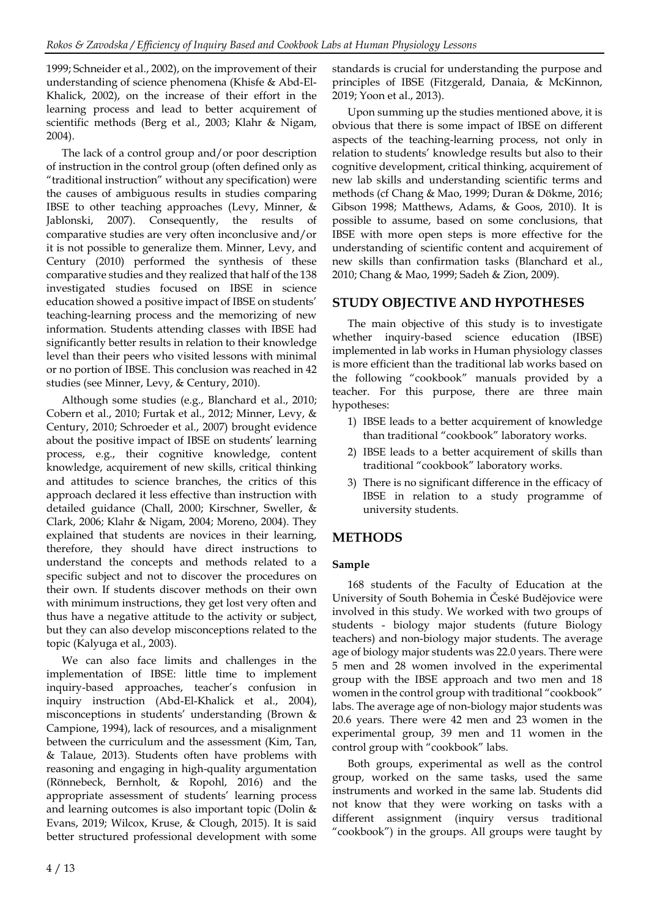1999; Schneider et al., 2002), on the improvement of their understanding of science phenomena (Khisfe & Abd-El-Khalick, 2002), on the increase of their effort in the learning process and lead to better acquirement of scientific methods (Berg et al., 2003; Klahr & Nigam, 2004).

The lack of a control group and/or poor description of instruction in the control group (often defined only as "traditional instruction" without any specification) were the causes of ambiguous results in studies comparing IBSE to other teaching approaches (Levy, Minner, & Jablonski, 2007). Consequently, the results of comparative studies are very often inconclusive and/or it is not possible to generalize them. Minner, Levy, and Century (2010) performed the synthesis of these comparative studies and they realized that half of the 138 investigated studies focused on IBSE in science education showed a positive impact of IBSE on students' teaching-learning process and the memorizing of new information. Students attending classes with IBSE had significantly better results in relation to their knowledge level than their peers who visited lessons with minimal or no portion of IBSE. This conclusion was reached in 42 studies (see Minner, Levy, & Century, 2010).

Although some studies (e.g., Blanchard et al., 2010; Cobern et al., 2010; Furtak et al., 2012; Minner, Levy, & Century, 2010; Schroeder et al., 2007) brought evidence about the positive impact of IBSE on students' learning process, e.g., their cognitive knowledge, content knowledge, acquirement of new skills, critical thinking and attitudes to science branches, the critics of this approach declared it less effective than instruction with detailed guidance (Chall, 2000; Kirschner, Sweller, & Clark, 2006; Klahr & Nigam, 2004; Moreno, 2004). They explained that students are novices in their learning, therefore, they should have direct instructions to understand the concepts and methods related to a specific subject and not to discover the procedures on their own. If students discover methods on their own with minimum instructions, they get lost very often and thus have a negative attitude to the activity or subject, but they can also develop misconceptions related to the topic (Kalyuga et al., 2003).

We can also face limits and challenges in the implementation of IBSE: little time to implement inquiry-based approaches, teacher's confusion in inquiry instruction (Abd-El-Khalick et al., 2004), misconceptions in students' understanding (Brown & Campione, 1994), lack of resources, and a misalignment between the curriculum and the assessment (Kim, Tan, & Talaue, 2013). Students often have problems with reasoning and engaging in high-quality argumentation (Rönnebeck, Bernholt, & Ropohl, 2016) and the appropriate assessment of students' learning process and learning outcomes is also important topic (Dolin  $&$ Evans, 2019; Wilcox, Kruse, & Clough, 2015). It is said better structured professional development with some

standards is crucial for understanding the purpose and principles of IBSE (Fitzgerald, Danaia, & McKinnon, 2019; Yoon et al., 2013).

Upon summing up the studies mentioned above, it is obvious that there is some impact of IBSE on different aspects of the teaching-learning process, not only in relation to students' knowledge results but also to their cognitive development, critical thinking, acquirement of new lab skills and understanding scientific terms and methods (cf Chang & Mao, 1999; Duran & Dökme, 2016; Gibson 1998; Matthews, Adams, & Goos, 2010). It is possible to assume, based on some conclusions, that IBSE with more open steps is more effective for the understanding of scientific content and acquirement of new skills than confirmation tasks (Blanchard et al., 2010; Chang & Mao, 1999; Sadeh & Zion, 2009).

# **STUDY OBJECTIVE AND HYPOTHESES**

The main objective of this study is to investigate whether inquiry-based science education (IBSE) implemented in lab works in Human physiology classes is more efficient than the traditional lab works based on the following "cookbook" manuals provided by a teacher. For this purpose, there are three main hypotheses:

- 1) IBSE leads to a better acquirement of knowledge than traditional "cookbook" laboratory works.
- 2) IBSE leads to a better acquirement of skills than traditional "cookbook" laboratory works.
- 3) There is no significant difference in the efficacy of IBSE in relation to a study programme of university students.

## **METHODS**

## **Sample**

168 students of the Faculty of Education at the University of South Bohemia in České Budějovice were involved in this study. We worked with two groups of students - biology major students (future Biology teachers) and non-biology major students. The average age of biology major students was 22.0 years. There were 5 men and 28 women involved in the experimental group with the IBSE approach and two men and 18 women in the control group with traditional "cookbook" labs. The average age of non-biology major students was 20.6 years. There were 42 men and 23 women in the experimental group, 39 men and 11 women in the control group with "cookbook" labs.

Both groups, experimental as well as the control group, worked on the same tasks, used the same instruments and worked in the same lab. Students did not know that they were working on tasks with a different assignment (inquiry versus traditional "cookbook") in the groups. All groups were taught by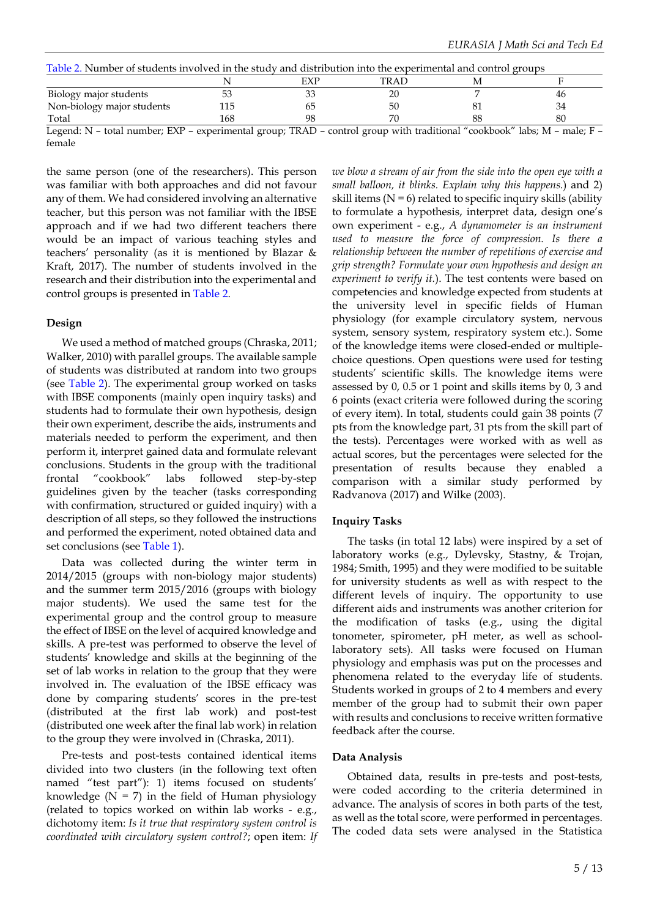| Table 2. Number of students involved in the study and distribution into the experimental and control groups                                              |     |    |      |  |    |  |  |  |  |
|----------------------------------------------------------------------------------------------------------------------------------------------------------|-----|----|------|--|----|--|--|--|--|
|                                                                                                                                                          |     |    | TRAD |  |    |  |  |  |  |
| Biology major students                                                                                                                                   | 53  |    |      |  | 46 |  |  |  |  |
| Non-biology major students                                                                                                                               | 115 |    | 50   |  | 34 |  |  |  |  |
| Total                                                                                                                                                    | 168 | 98 |      |  | 80 |  |  |  |  |
| Logand: $N_{\rm t}$ total number: $FVP$ experimental group: $TPAD_{\rm t}$ control group with traditional "cookbook" labo: $M_{\rm t}$ male: $F_{\rm t}$ |     |    |      |  |    |  |  |  |  |

Legend: N – total number; EXP – experimental group; TRAD – control group with traditional "cookbook" labs; M – male; F – female

the same person (one of the researchers). This person was familiar with both approaches and did not favour any of them. We had considered involving an alternative teacher, but this person was not familiar with the IBSE approach and if we had two different teachers there would be an impact of various teaching styles and teachers' personality (as it is mentioned by Blazar & Kraft, 2017). The number of students involved in the research and their distribution into the experimental and control groups is presented in Table 2.

#### **Design**

We used a method of matched groups (Chraska, 2011; Walker, 2010) with parallel groups. The available sample of students was distributed at random into two groups (see Table 2). The experimental group worked on tasks with IBSE components (mainly open inquiry tasks) and students had to formulate their own hypothesis, design their own experiment, describe the aids, instruments and materials needed to perform the experiment, and then perform it, interpret gained data and formulate relevant conclusions. Students in the group with the traditional frontal "cookbook" labs followed step-by-step guidelines given by the teacher (tasks corresponding with confirmation, structured or guided inquiry) with a description of all steps, so they followed the instructions and performed the experiment, noted obtained data and set conclusions (see Table 1).

Data was collected during the winter term in 2014/2015 (groups with non-biology major students) and the summer term 2015/2016 (groups with biology major students). We used the same test for the experimental group and the control group to measure the effect of IBSE on the level of acquired knowledge and skills. A pre-test was performed to observe the level of students' knowledge and skills at the beginning of the set of lab works in relation to the group that they were involved in. The evaluation of the IBSE efficacy was done by comparing students' scores in the pre-test (distributed at the first lab work) and post-test (distributed one week after the final lab work) in relation to the group they were involved in (Chraska, 2011).

Pre-tests and post-tests contained identical items divided into two clusters (in the following text often named "test part"): 1) items focused on students' knowledge ( $N = 7$ ) in the field of Human physiology (related to topics worked on within lab works - e.g., dichotomy item: *Is it true that respiratory system control is coordinated with circulatory system control?*; open item: *If* *we blow a stream of air from the side into the open eye with a small balloon, it blinks. Explain why this happens.*) and 2) skill items  $(N = 6)$  related to specific inquiry skills (ability to formulate a hypothesis, interpret data, design one's own experiment - e.g., *A dynamometer is an instrument used to measure the force of compression. Is there a relationship between the number of repetitions of exercise and grip strength? Formulate your own hypothesis and design an experiment to verify it.*). The test contents were based on competencies and knowledge expected from students at the university level in specific fields of Human physiology (for example circulatory system, nervous system, sensory system, respiratory system etc.). Some of the knowledge items were closed-ended or multiplechoice questions. Open questions were used for testing students' scientific skills. The knowledge items were assessed by 0, 0.5 or 1 point and skills items by 0, 3 and 6 points (exact criteria were followed during the scoring of every item). In total, students could gain 38 points (7 pts from the knowledge part, 31 pts from the skill part of the tests). Percentages were worked with as well as actual scores, but the percentages were selected for the presentation of results because they enabled a comparison with a similar study performed by Radvanova (2017) and Wilke (2003).

## **Inquiry Tasks**

The tasks (in total 12 labs) were inspired by a set of laboratory works (e.g., Dylevsky, Stastny, & Trojan, 1984; Smith, 1995) and they were modified to be suitable for university students as well as with respect to the different levels of inquiry. The opportunity to use different aids and instruments was another criterion for the modification of tasks (e.g., using the digital tonometer, spirometer, pH meter, as well as schoollaboratory sets). All tasks were focused on Human physiology and emphasis was put on the processes and phenomena related to the everyday life of students. Students worked in groups of 2 to 4 members and every member of the group had to submit their own paper with results and conclusions to receive written formative feedback after the course.

#### **Data Analysis**

Obtained data, results in pre-tests and post-tests, were coded according to the criteria determined in advance. The analysis of scores in both parts of the test, as well as the total score, were performed in percentages. The coded data sets were analysed in the Statistica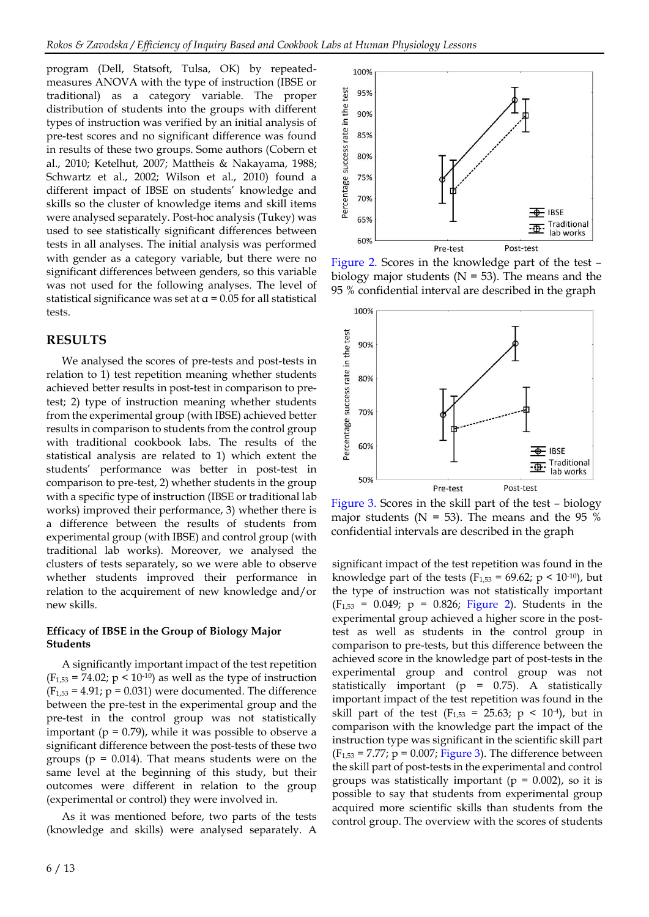program (Dell, Statsoft, Tulsa, OK) by repeatedmeasures ANOVA with the type of instruction (IBSE or traditional) as a category variable. The proper distribution of students into the groups with different types of instruction was verified by an initial analysis of pre-test scores and no significant difference was found in results of these two groups. Some authors (Cobern et al., 2010; Ketelhut, 2007; Mattheis & Nakayama, 1988; Schwartz et al., 2002; Wilson et al., 2010) found a different impact of IBSE on students' knowledge and skills so the cluster of knowledge items and skill items were analysed separately. Post-hoc analysis (Tukey) was used to see statistically significant differences between tests in all analyses. The initial analysis was performed with gender as a category variable, but there were no significant differences between genders, so this variable was not used for the following analyses. The level of statistical significance was set at  $\alpha$  = 0.05 for all statistical tests.

## **RESULTS**

We analysed the scores of pre-tests and post-tests in relation to 1) test repetition meaning whether students achieved better results in post-test in comparison to pretest; 2) type of instruction meaning whether students from the experimental group (with IBSE) achieved better results in comparison to students from the control group with traditional cookbook labs. The results of the statistical analysis are related to 1) which extent the students' performance was better in post-test in comparison to pre-test, 2) whether students in the group with a specific type of instruction (IBSE or traditional lab works) improved their performance, 3) whether there is a difference between the results of students from experimental group (with IBSE) and control group (with traditional lab works). Moreover, we analysed the clusters of tests separately, so we were able to observe whether students improved their performance in relation to the acquirement of new knowledge and/or new skills.

#### **Efficacy of IBSE in the Group of Biology Major Students**

A significantly important impact of the test repetition  $(F_{1,53} = 74.02; p \le 10^{-10})$  as well as the type of instruction  $(F<sub>1,53</sub> = 4.91; p = 0.031)$  were documented. The difference between the pre-test in the experimental group and the pre-test in the control group was not statistically important ( $p = 0.79$ ), while it was possible to observe a significant difference between the post-tests of these two groups ( $p = 0.014$ ). That means students were on the same level at the beginning of this study, but their outcomes were different in relation to the group (experimental or control) they were involved in.

As it was mentioned before, two parts of the tests (knowledge and skills) were analysed separately. A



Figure 2. Scores in the knowledge part of the test – biology major students ( $N = 53$ ). The means and the 95 % confidential interval are described in the graph



Figure 3. Scores in the skill part of the test – biology major students ( $N = 53$ ). The means and the 95 % confidential intervals are described in the graph

significant impact of the test repetition was found in the knowledge part of the tests ( $F_{1,53} = 69.62$ ; p < 10<sup>-10</sup>), but the type of instruction was not statistically important  $(F_{1,53} = 0.049; p = 0.826; Figure 2)$ . Students in the experimental group achieved a higher score in the posttest as well as students in the control group in comparison to pre-tests, but this difference between the achieved score in the knowledge part of post-tests in the experimental group and control group was not statistically important ( $p = 0.75$ ). A statistically important impact of the test repetition was found in the skill part of the test ( $F_{1,53} = 25.63$ ;  $p < 10^{-4}$ ), but in comparison with the knowledge part the impact of the instruction type was significant in the scientific skill part  $(F<sub>1,53</sub> = 7.77; p = 0.007; Figure 3).$  The difference between the skill part of post-tests in the experimental and control groups was statistically important ( $p = 0.002$ ), so it is possible to say that students from experimental group acquired more scientific skills than students from the control group. The overview with the scores of students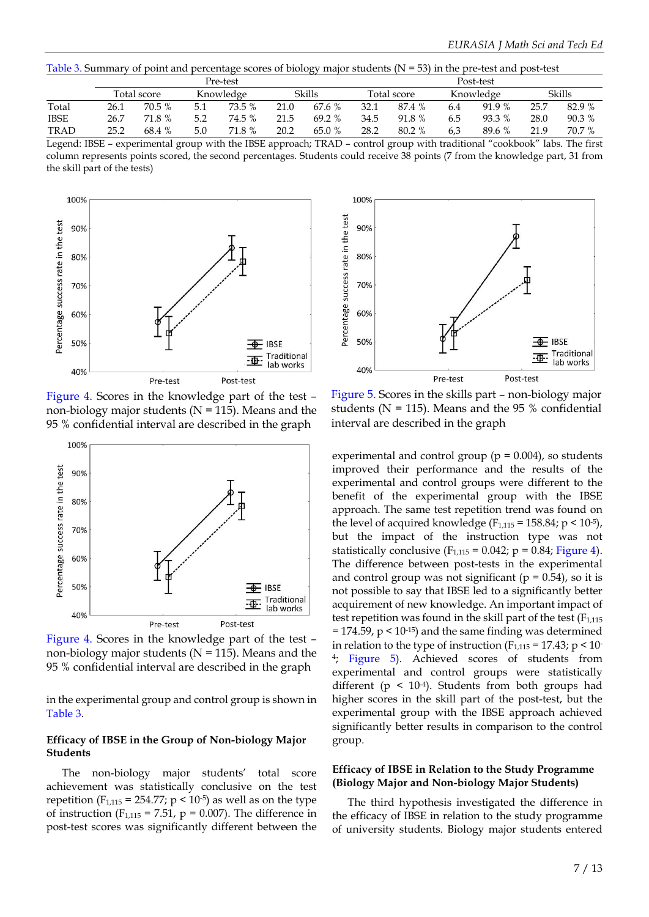Table 3. Summary of point and percentage scores of biology major students  $(N = 53)$  in the pre-test and post-test

|             |             |        |           | Pre-test |        | Post-test |             |        |           |        |        |        |
|-------------|-------------|--------|-----------|----------|--------|-----------|-------------|--------|-----------|--------|--------|--------|
|             | Total score |        | Knowledge |          | Skills |           | Total score |        | Knowledge |        | Skills |        |
| Total       | 26.1        | 70.5 % | 5.1       | 73.5 %   | 21.0   | 67.6 %    | 32.1        | 87.4 % | 6.4       | 91.9 % | 25.7   | 82.9 % |
| <b>IBSE</b> | 26.7        | 71.8 % | 5.2       | 74.5 %   | 21.5   | 69.2%     | 34.5        | 91.8 % | 6.5       | 93.3 % | 28.0   | 90.3 % |
| <b>TRAD</b> | 25.2        | 68.4 % | 5.0       | 71.8 %   | 20.2   | 65.0 %    | 28.2        | 80.2 % | 6.3       | 89.6 % | 21.9   | 70.7 % |

Legend: IBSE – experimental group with the IBSE approach; TRAD – control group with traditional "cookbook" labs. The first column represents points scored, the second percentages. Students could receive 38 points (7 from the knowledge part, 31 from the skill part of the tests)



Figure 4. Scores in the knowledge part of the test – non-biology major students ( $N = 115$ ). Means and the 95 % confidential interval are described in the graph



Figure 4. Scores in the knowledge part of the test – non-biology major students ( $N = 115$ ). Means and the 95 % confidential interval are described in the graph

in the experimental group and control group is shown in Table 3.

#### **Efficacy of IBSE in the Group of Non-biology Major Students**

The non-biology major students' total score achievement was statistically conclusive on the test repetition (F<sub>1,115</sub> = 254.77;  $p < 10^{-5}$ ) as well as on the type of instruction ( $F_{1,115} = 7.51$ ,  $p = 0.007$ ). The difference in post-test scores was significantly different between the



Figure 5. Scores in the skills part – non-biology major students ( $N = 115$ ). Means and the 95 % confidential interval are described in the graph

experimental and control group ( $p = 0.004$ ), so students improved their performance and the results of the experimental and control groups were different to the benefit of the experimental group with the IBSE approach. The same test repetition trend was found on the level of acquired knowledge ( $F_{1,115} = 158.84$ ;  $p \le 10^{-5}$ ), but the impact of the instruction type was not statistically conclusive ( $F_{1,115} = 0.042$ ;  $p = 0.84$ ; Figure 4). The difference between post-tests in the experimental and control group was not significant ( $p = 0.54$ ), so it is not possible to say that IBSE led to a significantly better acquirement of new knowledge. An important impact of test repetition was found in the skill part of the test  $(F<sub>1,115</sub>)$  $= 174.59$ ,  $p < 10^{-15}$ ) and the same finding was determined in relation to the type of instruction ( $F_{1,115} = 17.43$ ; p < 10-4 ; Figure 5). Achieved scores of students from experimental and control groups were statistically different ( $p \leq 10^{-4}$ ). Students from both groups had higher scores in the skill part of the post-test, but the experimental group with the IBSE approach achieved significantly better results in comparison to the control group.

#### **Efficacy of IBSE in Relation to the Study Programme (Biology Major and Non-biology Major Students)**

The third hypothesis investigated the difference in the efficacy of IBSE in relation to the study programme of university students. Biology major students entered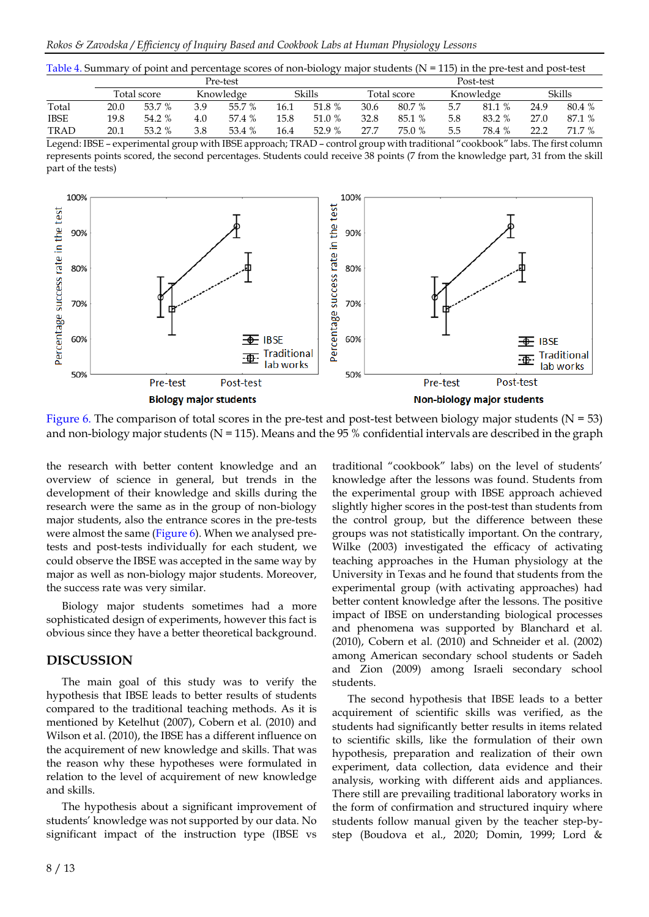| Table 4. Summary of point and percentage scores of non-biology major students ( $N = 115$ ) in the pre-test and post-test |  |  |  |  |  |  |
|---------------------------------------------------------------------------------------------------------------------------|--|--|--|--|--|--|
|                                                                                                                           |  |  |  |  |  |  |

|             |             |        |           | Pre-test |        | Post-test |             |        |           |        |        |        |  |
|-------------|-------------|--------|-----------|----------|--------|-----------|-------------|--------|-----------|--------|--------|--------|--|
|             | Total score |        | Knowledge |          | Skills |           | Total score |        | Knowledge |        | Skills |        |  |
| Total       | 20.0        | 53.7 % | 3.9       | 55.7 %   | 16.1   | 51.8 %    | 30.6        | 80.7 % | 5.7       | 81.1 % | 24.9   | 80.4 % |  |
| <b>IBSE</b> | 19.8        | 54.2 % | 4.0       | 57.4 %   | 15.8   | 51.0 %    | 32.8        | 85.1 % | 5.8       | 83.2 % | 27.0   | 87.1 % |  |
| <b>TRAD</b> | 20.1        | 53.2 % | 3.8       | 53.4 %   | 16.4   | 52.9 %    | 27.7        | 75.0 % | 5.5       | 78.4 % | 22.2   | 71.7 % |  |

Legend: IBSE – experimental group with IBSE approach; TRAD – control group with traditional "cookbook" labs. The first column represents points scored, the second percentages. Students could receive 38 points (7 from the knowledge part, 31 from the skill part of the tests)



Figure 6. The comparison of total scores in the pre-test and post-test between biology major students ( $N = 53$ ) and non-biology major students ( $N = 115$ ). Means and the 95 % confidential intervals are described in the graph

the research with better content knowledge and an overview of science in general, but trends in the development of their knowledge and skills during the research were the same as in the group of non-biology major students, also the entrance scores in the pre-tests were almost the same (Figure 6). When we analysed pretests and post-tests individually for each student, we could observe the IBSE was accepted in the same way by major as well as non-biology major students. Moreover, the success rate was very similar.

Biology major students sometimes had a more sophisticated design of experiments, however this fact is obvious since they have a better theoretical background.

## **DISCUSSION**

The main goal of this study was to verify the hypothesis that IBSE leads to better results of students compared to the traditional teaching methods. As it is mentioned by Ketelhut (2007), Cobern et al. (2010) and Wilson et al. (2010), the IBSE has a different influence on the acquirement of new knowledge and skills. That was the reason why these hypotheses were formulated in relation to the level of acquirement of new knowledge and skills.

The hypothesis about a significant improvement of students' knowledge was not supported by our data. No significant impact of the instruction type (IBSE vs traditional "cookbook" labs) on the level of students' knowledge after the lessons was found. Students from the experimental group with IBSE approach achieved slightly higher scores in the post-test than students from the control group, but the difference between these groups was not statistically important. On the contrary, Wilke (2003) investigated the efficacy of activating teaching approaches in the Human physiology at the University in Texas and he found that students from the experimental group (with activating approaches) had better content knowledge after the lessons. The positive impact of IBSE on understanding biological processes and phenomena was supported by Blanchard et al. (2010), Cobern et al. (2010) and Schneider et al. (2002) among American secondary school students or Sadeh and Zion (2009) among Israeli secondary school students.

The second hypothesis that IBSE leads to a better acquirement of scientific skills was verified, as the students had significantly better results in items related to scientific skills, like the formulation of their own hypothesis, preparation and realization of their own experiment, data collection, data evidence and their analysis, working with different aids and appliances. There still are prevailing traditional laboratory works in the form of confirmation and structured inquiry where students follow manual given by the teacher step-bystep (Boudova et al., 2020; Domin, 1999; Lord &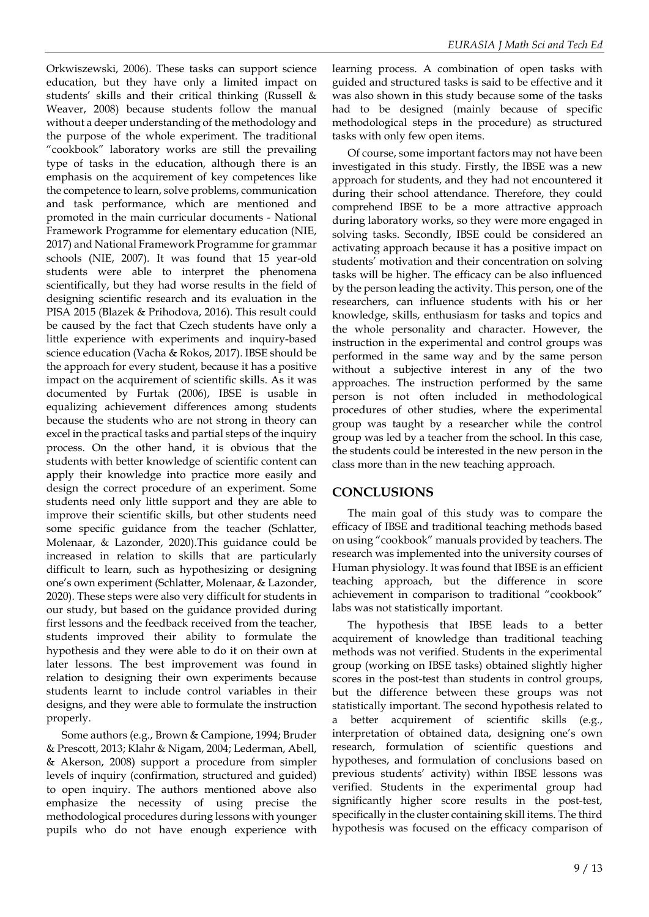Orkwiszewski, 2006). These tasks can support science education, but they have only a limited impact on students' skills and their critical thinking (Russell & Weaver, 2008) because students follow the manual without a deeper understanding of the methodology and the purpose of the whole experiment. The traditional "cookbook" laboratory works are still the prevailing type of tasks in the education, although there is an emphasis on the acquirement of key competences like the competence to learn, solve problems, communication and task performance, which are mentioned and promoted in the main curricular documents - National Framework Programme for elementary education (NIE, 2017) and National Framework Programme for grammar schools (NIE, 2007). It was found that 15 year-old students were able to interpret the phenomena scientifically, but they had worse results in the field of designing scientific research and its evaluation in the PISA 2015 (Blazek & Prihodova, 2016). This result could be caused by the fact that Czech students have only a little experience with experiments and inquiry-based science education (Vacha & Rokos, 2017). IBSE should be the approach for every student, because it has a positive impact on the acquirement of scientific skills. As it was documented by Furtak (2006), IBSE is usable in equalizing achievement differences among students because the students who are not strong in theory can excel in the practical tasks and partial steps of the inquiry process. On the other hand, it is obvious that the students with better knowledge of scientific content can apply their knowledge into practice more easily and design the correct procedure of an experiment. Some students need only little support and they are able to improve their scientific skills, but other students need some specific guidance from the teacher (Schlatter, Molenaar, & Lazonder, 2020).This guidance could be increased in relation to skills that are particularly difficult to learn, such as hypothesizing or designing one's own experiment (Schlatter, Molenaar, & Lazonder, 2020). These steps were also very difficult for students in our study, but based on the guidance provided during first lessons and the feedback received from the teacher, students improved their ability to formulate the hypothesis and they were able to do it on their own at later lessons. The best improvement was found in relation to designing their own experiments because students learnt to include control variables in their designs, and they were able to formulate the instruction properly.

Some authors (e.g., Brown & Campione, 1994; Bruder & Prescott, 2013; Klahr & Nigam, 2004; Lederman, Abell, & Akerson, 2008) support a procedure from simpler levels of inquiry (confirmation, structured and guided) to open inquiry. The authors mentioned above also emphasize the necessity of using precise the methodological procedures during lessons with younger pupils who do not have enough experience with

learning process. A combination of open tasks with guided and structured tasks is said to be effective and it was also shown in this study because some of the tasks had to be designed (mainly because of specific methodological steps in the procedure) as structured tasks with only few open items.

Of course, some important factors may not have been investigated in this study. Firstly, the IBSE was a new approach for students, and they had not encountered it during their school attendance. Therefore, they could comprehend IBSE to be a more attractive approach during laboratory works, so they were more engaged in solving tasks. Secondly, IBSE could be considered an activating approach because it has a positive impact on students' motivation and their concentration on solving tasks will be higher. The efficacy can be also influenced by the person leading the activity. This person, one of the researchers, can influence students with his or her knowledge, skills, enthusiasm for tasks and topics and the whole personality and character. However, the instruction in the experimental and control groups was performed in the same way and by the same person without a subjective interest in any of the two approaches. The instruction performed by the same person is not often included in methodological procedures of other studies, where the experimental group was taught by a researcher while the control group was led by a teacher from the school. In this case, the students could be interested in the new person in the class more than in the new teaching approach.

## **CONCLUSIONS**

The main goal of this study was to compare the efficacy of IBSE and traditional teaching methods based on using "cookbook" manuals provided by teachers. The research was implemented into the university courses of Human physiology. It was found that IBSE is an efficient teaching approach, but the difference in score achievement in comparison to traditional "cookbook" labs was not statistically important.

The hypothesis that IBSE leads to a better acquirement of knowledge than traditional teaching methods was not verified. Students in the experimental group (working on IBSE tasks) obtained slightly higher scores in the post-test than students in control groups, but the difference between these groups was not statistically important. The second hypothesis related to a better acquirement of scientific skills (e.g., interpretation of obtained data, designing one's own research, formulation of scientific questions and hypotheses, and formulation of conclusions based on previous students' activity) within IBSE lessons was verified. Students in the experimental group had significantly higher score results in the post-test, specifically in the cluster containing skill items. The third hypothesis was focused on the efficacy comparison of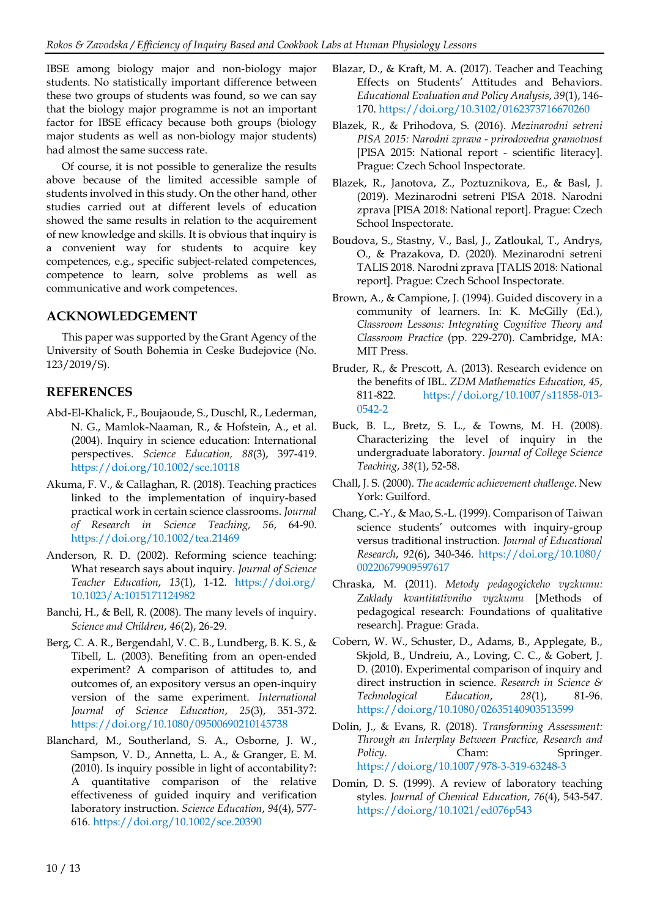IBSE among biology major and non-biology major students. No statistically important difference between these two groups of students was found, so we can say that the biology major programme is not an important factor for IBSE efficacy because both groups (biology major students as well as non-biology major students) had almost the same success rate.

Of course, it is not possible to generalize the results above because of the limited accessible sample of students involved in this study. On the other hand, other studies carried out at different levels of education showed the same results in relation to the acquirement of new knowledge and skills. It is obvious that inquiry is a convenient way for students to acquire key competences, e.g., specific subject-related competences, competence to learn, solve problems as well as communicative and work competences.

## **ACKNOWLEDGEMENT**

This paper was supported by the Grant Agency of the University of South Bohemia in Ceske Budejovice (No. 123/2019/S).

## **REFERENCES**

- Abd-El-Khalick, F., Boujaoude, S., Duschl, R., Lederman, N. G., Mamlok-Naaman, R., & Hofstein, A., et al. (2004). Inquiry in science education: International perspectives. *Science Education, 88*(3), 397-419. <https://doi.org/10.1002/sce.10118>
- Akuma, F. V., & Callaghan, R. (2018). Teaching practices linked to the implementation of inquiry-based practical work in certain science classrooms. *Journal of Research in Science Teaching, 56*, 64-90. <https://doi.org/10.1002/tea.21469>
- Anderson, R. D. (2002). Reforming science teaching: What research says about inquiry. *Journal of Science Teacher Education*, *13*(1), 1-12. [https://doi.org/](https://doi.org/10.1023/A:1015171124982) [10.1023/A:1015171124982](https://doi.org/10.1023/A:1015171124982)
- Banchi, H., & Bell, R. (2008). The many levels of inquiry. *Science and Children*, *46*(2), 26-29.
- Berg, C. A. R., Bergendahl, V. C. B., Lundberg, B. K. S., & Tibell, L. (2003). Benefiting from an open-ended experiment? A comparison of attitudes to, and outcomes of, an expository versus an open-inquiry version of the same experiment. *International Journal of Science Education*, *25*(3), 351-372. <https://doi.org/10.1080/09500690210145738>
- Blanchard, M., Southerland, S. A., Osborne, J. W., Sampson, V. D., Annetta, L. A., & Granger, E. M. (2010). Is inquiry possible in light of accontability?: A quantitative comparison of the relative effectiveness of guided inquiry and verification laboratory instruction. *Science Education*, *94*(4), 577- 616. <https://doi.org/10.1002/sce.20390>
- Blazar, D., & Kraft, M. A. (2017). Teacher and Teaching Effects on Students' Attitudes and Behaviors. *Educational Evaluation and Policy Analysis*, *39*(1), 146- 170. <https://doi.org/10.3102/0162373716670260>
- Blazek, R., & Prihodova, S. (2016). *Mezinarodni setreni PISA 2015: Narodni zprava - prirodovedna gramotnost* [PISA 2015: National report - scientific literacy]. Prague: Czech School Inspectorate.
- Blazek, R., Janotova, Z., Poztuznikova, E., & Basl, J. (2019). Mezinarodni setreni PISA 2018. Narodni zprava [PISA 2018: National report]. Prague: Czech School Inspectorate.
- Boudova, S., Stastny, V., Basl, J., Zatloukal, T., Andrys, O., & Prazakova, D. (2020). Mezinarodni setreni TALIS 2018. Narodni zprava [TALIS 2018: National report]. Prague: Czech School Inspectorate.
- Brown, A., & Campione, J. (1994). Guided discovery in a community of learners. In: K. McGilly (Ed.), *Classroom Lessons: Integrating Cognitive Theory and Classroom Practice* (pp. 229-270). Cambridge, MA: MIT Press.
- Bruder, R., & Prescott, A. (2013). Research evidence on the benefits of IBL. *ZDM Mathematics Education, 45*, 811-822. [https://doi.org/10.1007/s11858-013-](https://doi.org/10.1007/s11858-013-0542-2) [0542-2](https://doi.org/10.1007/s11858-013-0542-2)
- Buck, B. L., Bretz, S. L., & Towns, M. H. (2008). Characterizing the level of inquiry in the undergraduate laboratory. *Journal of College Science Teaching*, *38*(1), 52-58.
- Chall, J. S. (2000). *The academic achievement challenge*. New York: Guilford.
- Chang, C.-Y., & Mao, S.-L. (1999). Comparison of Taiwan science students' outcomes with inquiry-group versus traditional instruction. *Journal of Educational Research*, *92*(6), 340-346. [https://doi.org/10.1080/](https://doi.org/10.1080/00220679909597617) [00220679909597617](https://doi.org/10.1080/00220679909597617)
- Chraska, M. (2011). *Metody pedagogickeho vyzkumu: Zaklady kvantitativniho vyzkumu* [Methods of pedagogical research: Foundations of qualitative research]*.* Prague: Grada.
- Cobern, W. W., Schuster, D., Adams, B., Applegate, B., Skjold, B., Undreiu, A., Loving, C. C., & Gobert, J. D. (2010). Experimental comparison of inquiry and direct instruction in science. *Research in Science & Technological Education*, *28*(1), 81-96. <https://doi.org/10.1080/02635140903513599>
- Dolin, J., & Evans, R. (2018). *Transforming Assessment: Through an Interplay Between Practice, Research and Policy*. Cham: Springer. <https://doi.org/10.1007/978-3-319-63248-3>
- Domin, D. S. (1999). A review of laboratory teaching styles. *Journal of Chemical Education*, *76*(4), 543-547. <https://doi.org/10.1021/ed076p543>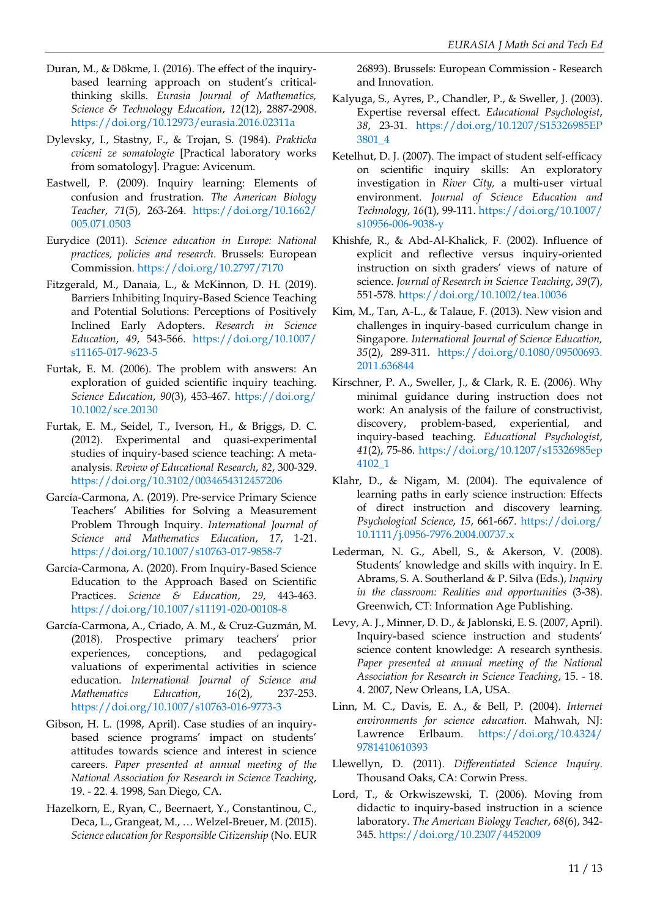- Duran, M., & Dökme, I. (2016). The effect of the inquirybased learning approach on student's criticalthinking skills. *Eurasia Journal of Mathematics, Science & Technology Education*, *12*(12), 2887-2908. <https://doi.org/10.12973/eurasia.2016.02311a>
- Dylevsky, I., Stastny, F., & Trojan, S. (1984). *Prakticka cviceni ze somatologie* [Practical laboratory works from somatology]. Prague: Avicenum.
- Eastwell, P. (2009). Inquiry learning: Elements of confusion and frustration. *The American Biology Teacher*, *71*(5), 263-264. [https://doi.org/10.1662/](https://doi.org/10.1662/005.071.0503) [005.071.0503](https://doi.org/10.1662/005.071.0503)
- Eurydice (2011). *Science education in Europe: National practices, policies and research*. Brussels: European Commission. <https://doi.org/10.2797/7170>
- Fitzgerald, M., Danaia, L., & McKinnon, D. H. (2019). Barriers Inhibiting Inquiry-Based Science Teaching and Potential Solutions: Perceptions of Positively Inclined Early Adopters. *Research in Science Education*, *49*, 543-566. [https://doi.org/10.1007/](https://doi.org/10.1007/s11165-017-9623-5) [s11165-017-9623-5](https://doi.org/10.1007/s11165-017-9623-5)
- Furtak, E. M. (2006). The problem with answers: An exploration of guided scientific inquiry teaching. *Science Education*, *90*(3), 453-467. [https://doi.org/](https://doi.org/10.1002/sce.20130) [10.1002/sce.20130](https://doi.org/10.1002/sce.20130)
- Furtak, E. M., Seidel, T., Iverson, H., & Briggs, D. C. (2012). Experimental and quasi-experimental studies of inquiry-based science teaching: A metaanalysis. *Review of Educational Research*, *82*, 300-329. <https://doi.org/10.3102/0034654312457206>
- García-Carmona, A. (2019). Pre-service Primary Science Teachers' Abilities for Solving a Measurement Problem Through Inquiry. *International Journal of Science and Mathematics Education*, *17*, 1-21. <https://doi.org/10.1007/s10763-017-9858-7>
- García-Carmona, A. (2020). From Inquiry-Based Science Education to the Approach Based on Scientific Practices. *Science & Education*, *29*, 443-463. <https://doi.org/10.1007/s11191-020-00108-8>
- García-Carmona, A., Criado, A. M., & Cruz-Guzmán, M. (2018). Prospective primary teachers' prior experiences, conceptions, and pedagogical valuations of experimental activities in science education. *International Journal of Science and Mathematics Education*, *16*(2), 237-253. <https://doi.org/10.1007/s10763-016-9773-3>
- Gibson, H. L. (1998, April). Case studies of an inquirybased science programs' impact on students' attitudes towards science and interest in science careers. *Paper presented at annual meeting of the National Association for Research in Science Teaching*, 19. - 22. 4. 1998, San Diego, CA.
- Hazelkorn, E., Ryan, C., Beernaert, Y., Constantinou, C., Deca, L., Grangeat, M., … Welzel-Breuer, M. (2015). *Science education for Responsible Citizenship (No. EUR*

26893). Brussels: European Commission - Research and Innovation.

- Kalyuga, S., Ayres, P., Chandler, P., & Sweller, J. (2003). Expertise reversal effect. *Educational Psychologist*, *38*, 23-31. [https://doi.org/10.1207/S15326985EP](https://doi.org/10.1207/S15326985EP3801_4) [3801\\_4](https://doi.org/10.1207/S15326985EP3801_4)
- Ketelhut, D. J. (2007). The impact of student self-efficacy on scientific inquiry skills: An exploratory investigation in *River City,* a multi-user virtual environment. *Journal of Science Education and Technology*, *16*(1), 99-111. [https://doi.org/10.1007/](https://doi.org/10.1007/s10956-006-9038-y) [s10956-006-9038-y](https://doi.org/10.1007/s10956-006-9038-y)
- Khishfe, R., & Abd-Al-Khalick, F. (2002). Influence of explicit and reflective versus inquiry-oriented instruction on sixth graders' views of nature of science. *Journal of Research in Science Teaching*, *39*(7), 551-578. <https://doi.org/10.1002/tea.10036>
- Kim, M., Tan, A-L., & Talaue, F. (2013). New vision and challenges in inquiry-based curriculum change in Singapore. *International Journal of Science Education, 35*(2), 289-311. [https://doi.org/0.1080/09500693.](https://doi.org/0.1080/09500693.2011.636844) [2011.636844](https://doi.org/0.1080/09500693.2011.636844)
- Kirschner, P. A., Sweller, J., & Clark, R. E. (2006). Why minimal guidance during instruction does not work: An analysis of the failure of constructivist, discovery, problem-based, experiential, and inquiry-based teaching. *Educational Psychologist*, *41*(2), 75-86. [https://doi.org/10.1207/s15326985ep](https://doi.org/10.1207/s15326985ep4102_1) [4102\\_1](https://doi.org/10.1207/s15326985ep4102_1)
- Klahr, D., & Nigam, M. (2004). The equivalence of learning paths in early science instruction: Effects of direct instruction and discovery learning. *Psychological Science*, *15*, 661-667. [https://doi.org/](https://doi.org/10.1111/j.0956-7976.2004.00737.x) [10.1111/j.0956-7976.2004.00737.x](https://doi.org/10.1111/j.0956-7976.2004.00737.x)
- Lederman, N. G., Abell, S., & Akerson, V. (2008). Students' knowledge and skills with inquiry. In E. Abrams, S. A. Southerland & P. Silva (Eds.), *Inquiry in the classroom: Realities and opportunities* (3-38). Greenwich, CT: Information Age Publishing.
- Levy, A. J., Minner, D. D., & Jablonski, E. S. (2007, April). Inquiry-based science instruction and students' science content knowledge: A research synthesis. *Paper presented at annual meeting of the National Association for Research in Science Teaching*, 15. - 18. 4. 2007, New Orleans, LA, USA.
- Linn, M. C., Davis, E. A., & Bell, P. (2004). *Internet environments for science education.* Mahwah, NJ: Lawrence Erlbaum. [https://doi.org/10.4324/](https://doi.org/10.4324/9781410610393) [9781410610393](https://doi.org/10.4324/9781410610393)
- Llewellyn, D. (2011). *Differentiated Science Inquiry*. Thousand Oaks, CA: Corwin Press.
- Lord, T., & Orkwiszewski, T. (2006). Moving from didactic to inquiry-based instruction in a science laboratory. *The American Biology Teacher*, *68*(6), 342- 345. <https://doi.org/10.2307/4452009>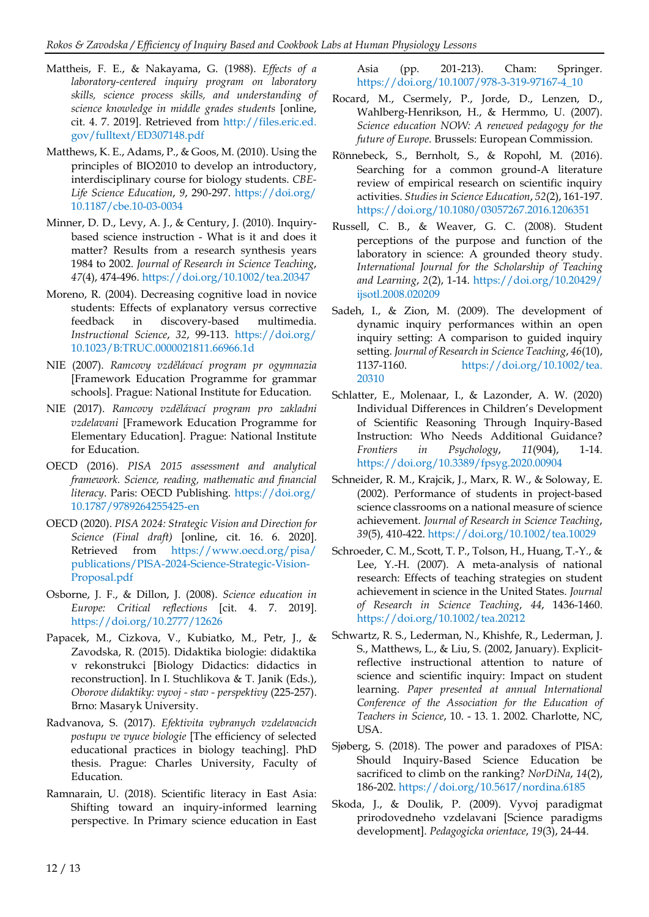- Mattheis, F. E., & Nakayama, G. (1988). *Effects of a laboratory-centered inquiry program on laboratory skills, science process skills, and understanding of science knowledge in middle grades students* [online, cit. 4. 7. 2019]. Retrieved from [http://files.eric.ed.](http://files.eric.ed.gov/fulltext/ED307148.pdf) [gov/fulltext/ED307148.pdf](http://files.eric.ed.gov/fulltext/ED307148.pdf)
- Matthews, K. E., Adams, P., & Goos, M. (2010). Using the principles of BIO2010 to develop an introductory, interdisciplinary course for biology students. *CBE-Life Science Education*, *9*, 290-297. [https://doi.org/](https://doi.org/10.1187/cbe.10-03-0034) [10.1187/cbe.10-03-0034](https://doi.org/10.1187/cbe.10-03-0034)
- Minner, D. D., Levy, A. J., & Century, J. (2010). Inquirybased science instruction - What is it and does it matter? Results from a research synthesis years 1984 to 2002. *Journal of Research in Science Teaching*, *47*(4), 474-496. <https://doi.org/10.1002/tea.20347>
- Moreno, R. (2004). Decreasing cognitive load in novice students: Effects of explanatory versus corrective feedback in discovery-based multimedia. *Instructional Science*, *32*, 99-113. [https://doi.org/](https://doi.org/10.1023/B:TRUC.0000021811.66966.1d) [10.1023/B:TRUC.0000021811.66966.1d](https://doi.org/10.1023/B:TRUC.0000021811.66966.1d)
- NIE (2007). *Ramcovy vzdělávací program pr ogymnazia* [Framework Education Programme for grammar schools]. Prague: National Institute for Education.
- NIE (2017). *Ramcovy vzdělávací program pro zakladni vzdelavani* [Framework Education Programme for Elementary Education]. Prague: National Institute for Education.
- OECD (2016). *PISA 2015 assessment and analytical framework. Science, reading, mathematic and financial literacy*. Paris: OECD Publishing. [https://doi.org/](https://doi.org/10.1787/9789264255425-en) [10.1787/9789264255425-en](https://doi.org/10.1787/9789264255425-en)
- OECD (2020). *PISA 2024: Strategic Vision and Direction for Science (Final draft)* [online, cit. 16. 6. 2020]. Retrieved from [https://www.oecd.org/pisa/](https://www.oecd.org/pisa/publications/PISA-2024-Science-Strategic-Vision-Proposal.pdf) [publications/PISA-2024-Science-Strategic-Vision-](https://www.oecd.org/pisa/publications/PISA-2024-Science-Strategic-Vision-Proposal.pdf)[Proposal.pdf](https://www.oecd.org/pisa/publications/PISA-2024-Science-Strategic-Vision-Proposal.pdf)
- Osborne, J. F., & Dillon, J. (2008). *Science education in Europe: Critical reflections* [cit. 4. 7. 2019]. <https://doi.org/10.2777/12626>
- Papacek, M., Cizkova, V., Kubiatko, M., Petr, J., & Zavodska, R. (2015). Didaktika biologie: didaktika v rekonstrukci [Biology Didactics: didactics in reconstruction]. In I. Stuchlikova & T. Janik (Eds.), *Oborove didaktiky: vyvoj - stav - perspektivy* (225-257). Brno: Masaryk University.
- Radvanova, S. (2017). *Efektivita vybranych vzdelavacich postupu ve vyuce biologie* [The efficiency of selected educational practices in biology teaching]. PhD thesis. Prague: Charles University, Faculty of Education.
- Ramnarain, U. (2018). Scientific literacy in East Asia: Shifting toward an inquiry-informed learning perspective. In Primary science education in East

Asia (pp. 201-213). Cham: Springer. [https://doi.org/10.1007/978-3-319-97167-4\\_10](https://doi.org/10.1007/978-3-319-97167-4_10)

- Rocard, M., Csermely, P., Jorde, D., Lenzen, D., Wahlberg-Henrikson, H., & Hermmo, U. (2007). *Science education NOW: A renewed pedagogy for the future of Europe*. Brussels: European Commission.
- Rönnebeck, S., Bernholt, S., & Ropohl, M. (2016). Searching for a common ground-A literature review of empirical research on scientific inquiry activities. *Studiesin Science Education*, *52*(2), 161-197. <https://doi.org/10.1080/03057267.2016.1206351>
- Russell, C. B., & Weaver, G. C. (2008). Student perceptions of the purpose and function of the laboratory in science: A grounded theory study. *International Journal for the Scholarship of Teaching and Learning*, *2*(2), 1-14. [https://doi.org/10.20429/](https://doi.org/10.20429/ijsotl.2008.020209) [ijsotl.2008.020209](https://doi.org/10.20429/ijsotl.2008.020209)
- Sadeh, I., & Zion, M. (2009). The development of dynamic inquiry performances within an open inquiry setting: A comparison to guided inquiry setting. *Journal of Research in Science Teaching*, *46*(10), 1137-1160. [https://doi.org/10.1002/tea.](https://doi.org/10.1002/tea.20310) [20310](https://doi.org/10.1002/tea.20310)
- Schlatter, E., Molenaar, I., & Lazonder, A. W. (2020) Individual Differences in Children's Development of Scientific Reasoning Through Inquiry-Based Instruction: Who Needs Additional Guidance? *Frontiers in Psychology*, *11*(904), 1-14. <https://doi.org/10.3389/fpsyg.2020.00904>
- Schneider, R. M., Krajcik, J., Marx, R. W., & Soloway, E. (2002). Performance of students in project-based science classrooms on a national measure of science achievement. *Journal of Research in Science Teaching*, *39*(5), 410-422. <https://doi.org/10.1002/tea.10029>
- Schroeder, C. M., Scott, T. P., Tolson, H., Huang, T.-Y., & Lee, Y.-H. (2007). A meta-analysis of national research: Effects of teaching strategies on student achievement in science in the United States. *Journal of Research in Science Teaching*, *44*, 1436-1460. <https://doi.org/10.1002/tea.20212>
- Schwartz, R. S., Lederman, N., Khishfe, R., Lederman, J. S., Matthews, L., & Liu, S. (2002, January). Explicitreflective instructional attention to nature of science and scientific inquiry: Impact on student learning. *Paper presented at annual International Conference of the Association for the Education of Teachers in Science*, 10. - 13. 1. 2002. Charlotte, NC, USA.
- Sjøberg, S. (2018). The power and paradoxes of PISA: Should Inquiry-Based Science Education be sacrificed to climb on the ranking? *NorDiNa*, *14*(2), 186-202. <https://doi.org/10.5617/nordina.6185>
- Skoda, J., & Doulik, P. (2009). Vyvoj paradigmat prirodovedneho vzdelavani [Science paradigms development]. *Pedagogicka orientace*, *19*(3), 24-44.